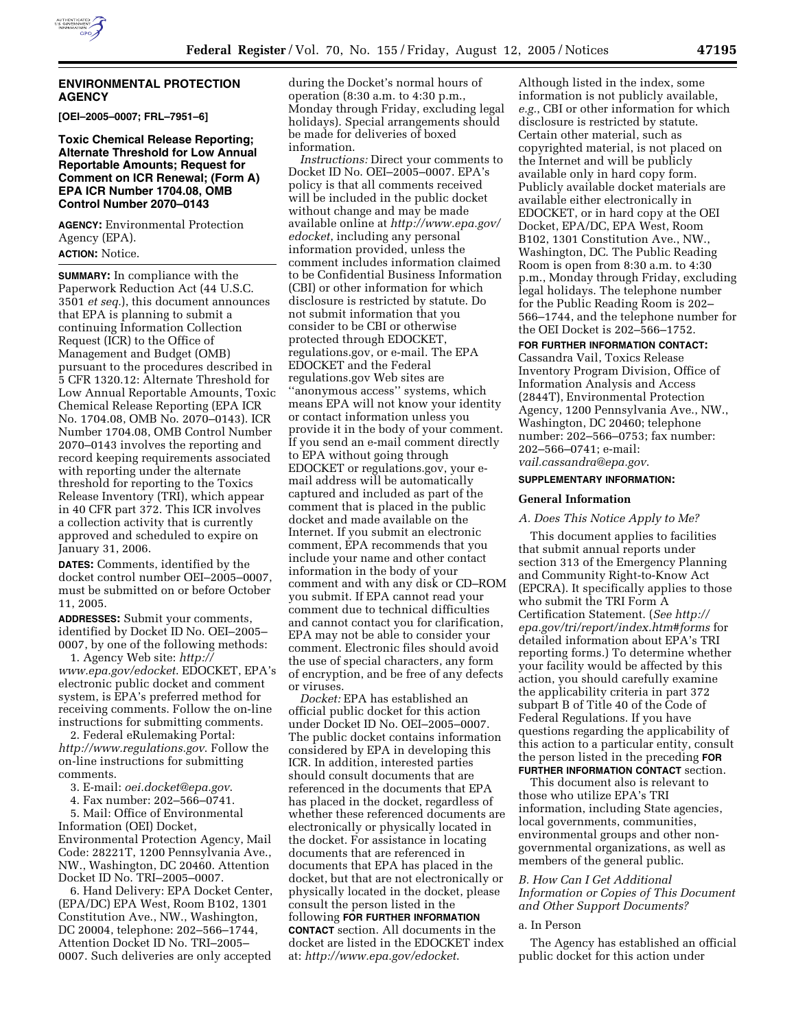

#### **ENVIRONMENTAL PROTECTION AGENCY**

**[OEI–2005–0007; FRL–7951–6]** 

## **Toxic Chemical Release Reporting; Alternate Threshold for Low Annual Reportable Amounts; Request for Comment on ICR Renewal; (Form A) EPA ICR Number 1704.08, OMB Control Number 2070–0143**

**AGENCY:** Environmental Protection Agency (EPA).

# **ACTION:** Notice.

**SUMMARY:** In compliance with the Paperwork Reduction Act (44 U.S.C. 3501 *et seq.*), this document announces that EPA is planning to submit a continuing Information Collection Request (ICR) to the Office of Management and Budget (OMB) pursuant to the procedures described in 5 CFR 1320.12: Alternate Threshold for Low Annual Reportable Amounts, Toxic Chemical Release Reporting (EPA ICR No. 1704.08, OMB No. 2070–0143). ICR Number 1704.08, OMB Control Number 2070–0143 involves the reporting and record keeping requirements associated with reporting under the alternate threshold for reporting to the Toxics Release Inventory (TRI), which appear in 40 CFR part 372. This ICR involves a collection activity that is currently approved and scheduled to expire on January 31, 2006.

**DATES:** Comments, identified by the docket control number OEI–2005–0007, must be submitted on or before October 11, 2005.

**ADDRESSES:** Submit your comments, identified by Docket ID No. OEI–2005– 0007, by one of the following methods:

1. Agency Web site: *http:// www.epa.gov/edocket*. EDOCKET, EPA's electronic public docket and comment system, is EPA's preferred method for receiving comments. Follow the on-line instructions for submitting comments.

2. Federal eRulemaking Portal: *http://www.regulations.gov*. Follow the on-line instructions for submitting comments.

- 3. E-mail: *oei.docket@epa.gov*.
- 4. Fax number: 202–566–0741.

5. Mail: Office of Environmental Information (OEI) Docket, Environmental Protection Agency, Mail Code: 28221T, 1200 Pennsylvania Ave., NW., Washington, DC 20460. Attention

Docket ID No. TRI–2005–0007. 6. Hand Delivery: EPA Docket Center, (EPA/DC) EPA West, Room B102, 1301 Constitution Ave., NW., Washington, DC 20004, telephone: 202–566–1744, Attention Docket ID No. TRI–2005– 0007. Such deliveries are only accepted

during the Docket's normal hours of operation (8:30 a.m. to 4:30 p.m., Monday through Friday, excluding legal holidays). Special arrangements should be made for deliveries of boxed information.

*Instructions:* Direct your comments to Docket ID No. OEI–2005–0007. EPA's policy is that all comments received will be included in the public docket without change and may be made available online at *http://www.epa.gov/ edocket*, including any personal information provided, unless the comment includes information claimed to be Confidential Business Information (CBI) or other information for which disclosure is restricted by statute. Do not submit information that you consider to be CBI or otherwise protected through EDOCKET, regulations.gov, or e-mail. The EPA EDOCKET and the Federal regulations.gov Web sites are ''anonymous access'' systems, which means EPA will not know your identity or contact information unless you provide it in the body of your comment. If you send an e-mail comment directly to EPA without going through EDOCKET or regulations.gov, your email address will be automatically captured and included as part of the comment that is placed in the public docket and made available on the Internet. If you submit an electronic comment, EPA recommends that you include your name and other contact information in the body of your comment and with any disk or CD–ROM you submit. If EPA cannot read your comment due to technical difficulties and cannot contact you for clarification, EPA may not be able to consider your comment. Electronic files should avoid the use of special characters, any form of encryption, and be free of any defects or viruses.

*Docket:* EPA has established an official public docket for this action under Docket ID No. OEI–2005–0007. The public docket contains information considered by EPA in developing this ICR. In addition, interested parties should consult documents that are referenced in the documents that EPA has placed in the docket, regardless of whether these referenced documents are electronically or physically located in the docket. For assistance in locating documents that are referenced in documents that EPA has placed in the docket, but that are not electronically or physically located in the docket, please consult the person listed in the following **FOR FURTHER INFORMATION CONTACT** section. All documents in the docket are listed in the EDOCKET index at: *http://www.epa.gov/edocket*.

Although listed in the index, some information is not publicly available, *e.g.*, CBI or other information for which disclosure is restricted by statute. Certain other material, such as copyrighted material, is not placed on the Internet and will be publicly available only in hard copy form. Publicly available docket materials are available either electronically in EDOCKET, or in hard copy at the OEI Docket, EPA/DC, EPA West, Room B102, 1301 Constitution Ave., NW., Washington, DC. The Public Reading Room is open from 8:30 a.m. to 4:30 p.m., Monday through Friday, excluding legal holidays. The telephone number for the Public Reading Room is 202– 566–1744, and the telephone number for the OEI Docket is 202–566–1752.

## **FOR FURTHER INFORMATION CONTACT:**

Cassandra Vail, Toxics Release Inventory Program Division, Office of Information Analysis and Access (2844T), Environmental Protection Agency, 1200 Pennsylvania Ave., NW., Washington, DC 20460; telephone number: 202–566–0753; fax number: 202–566–0741; e-mail: *vail.cassandra@epa.gov*.

#### **SUPPLEMENTARY INFORMATION:**

#### **General Information**

#### *A. Does This Notice Apply to Me?*

This document applies to facilities that submit annual reports under section 313 of the Emergency Planning and Community Right-to-Know Act (EPCRA). It specifically applies to those who submit the TRI Form A Certification Statement. (*See http:// epa.gov/tri/report/index.htm#forms* for detailed information about EPA's TRI reporting forms.) To determine whether your facility would be affected by this action, you should carefully examine the applicability criteria in part 372 subpart B of Title 40 of the Code of Federal Regulations. If you have questions regarding the applicability of this action to a particular entity, consult the person listed in the preceding **FOR FURTHER INFORMATION CONTACT** section.

This document also is relevant to those who utilize EPA's TRI information, including State agencies, local governments, communities, environmental groups and other nongovernmental organizations, as well as members of the general public.

## *B. How Can I Get Additional Information or Copies of This Document and Other Support Documents?*

#### a. In Person

The Agency has established an official public docket for this action under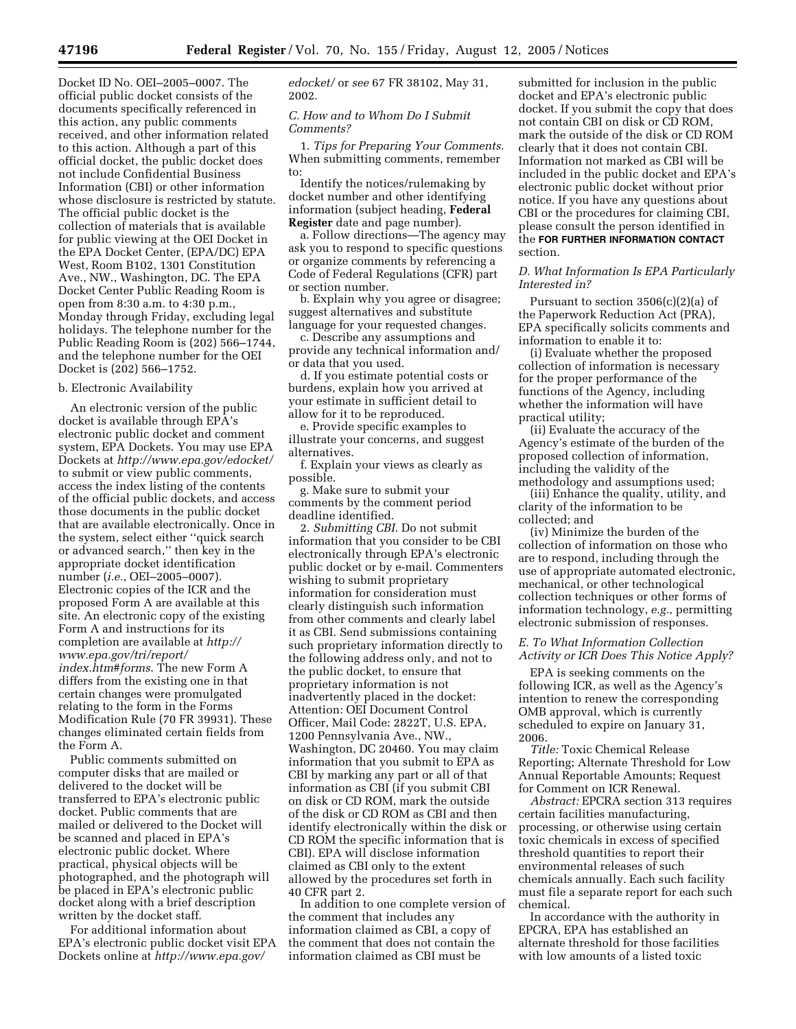Docket ID No. OEI–2005–0007. The official public docket consists of the documents specifically referenced in this action, any public comments received, and other information related to this action. Although a part of this official docket, the public docket does not include Confidential Business Information (CBI) or other information whose disclosure is restricted by statute. The official public docket is the collection of materials that is available for public viewing at the OEI Docket in the EPA Docket Center, (EPA/DC) EPA West, Room B102, 1301 Constitution Ave., NW., Washington, DC. The EPA Docket Center Public Reading Room is open from 8:30 a.m. to 4:30 p.m., Monday through Friday, excluding legal holidays. The telephone number for the Public Reading Room is (202) 566–1744, and the telephone number for the OEI Docket is (202) 566–1752.

#### b. Electronic Availability

An electronic version of the public docket is available through EPA's electronic public docket and comment system, EPA Dockets. You may use EPA Dockets at *http://www.epa.gov/edocket/* to submit or view public comments, access the index listing of the contents of the official public dockets, and access those documents in the public docket that are available electronically. Once in the system, select either ''quick search or advanced search,'' then key in the appropriate docket identification number (*i.e.*, OEI–2005–0007). Electronic copies of the ICR and the proposed Form A are available at this site. An electronic copy of the existing Form A and instructions for its completion are available at *http:// www.epa.gov/tri/report/ index.htm#forms*. The new Form A differs from the existing one in that certain changes were promulgated relating to the form in the Forms Modification Rule (70 FR 39931). These changes eliminated certain fields from the Form A.

Public comments submitted on computer disks that are mailed or delivered to the docket will be transferred to EPA's electronic public docket. Public comments that are mailed or delivered to the Docket will be scanned and placed in EPA's electronic public docket. Where practical, physical objects will be photographed, and the photograph will be placed in EPA's electronic public docket along with a brief description written by the docket staff.

For additional information about EPA's electronic public docket visit EPA Dockets online at *http://www.epa.gov/*

*edocket/* or *see* 67 FR 38102, May 31, 2002.

#### *C. How and to Whom Do I Submit Comments?*

1. *Tips for Preparing Your Comments*. When submitting comments, remember to:

Identify the notices/rulemaking by docket number and other identifying information (subject heading, **Federal Register** date and page number).

a. Follow directions—The agency may ask you to respond to specific questions or organize comments by referencing a Code of Federal Regulations (CFR) part or section number.

b. Explain why you agree or disagree; suggest alternatives and substitute language for your requested changes.

c. Describe any assumptions and provide any technical information and/ or data that you used.

d. If you estimate potential costs or burdens, explain how you arrived at your estimate in sufficient detail to allow for it to be reproduced.

e. Provide specific examples to illustrate your concerns, and suggest alternatives.

f. Explain your views as clearly as possible.

g. Make sure to submit your comments by the comment period deadline identified.

2. *Submitting CBI*. Do not submit information that you consider to be CBI electronically through EPA's electronic public docket or by e-mail. Commenters wishing to submit proprietary information for consideration must clearly distinguish such information from other comments and clearly label it as CBI. Send submissions containing such proprietary information directly to the following address only, and not to the public docket, to ensure that proprietary information is not inadvertently placed in the docket: Attention: OEI Document Control Officer, Mail Code: 2822T, U.S. EPA, 1200 Pennsylvania Ave., NW., Washington, DC 20460. You may claim information that you submit to EPA as CBI by marking any part or all of that information as CBI (if you submit CBI on disk or CD ROM, mark the outside of the disk or CD ROM as CBI and then identify electronically within the disk or CD ROM the specific information that is CBI). EPA will disclose information claimed as CBI only to the extent allowed by the procedures set forth in 40 CFR part 2.

In addition to one complete version of the comment that includes any information claimed as CBI, a copy of the comment that does not contain the information claimed as CBI must be

submitted for inclusion in the public docket and EPA's electronic public docket. If you submit the copy that does not contain CBI on disk or CD ROM, mark the outside of the disk or CD ROM clearly that it does not contain CBI. Information not marked as CBI will be included in the public docket and EPA's electronic public docket without prior notice. If you have any questions about CBI or the procedures for claiming CBI, please consult the person identified in the **FOR FURTHER INFORMATION CONTACT** section.

#### *D. What Information Is EPA Particularly Interested in?*

Pursuant to section 3506(c)(2)(a) of the Paperwork Reduction Act (PRA), EPA specifically solicits comments and information to enable it to:

(i) Evaluate whether the proposed collection of information is necessary for the proper performance of the functions of the Agency, including whether the information will have practical utility;

(ii) Evaluate the accuracy of the Agency's estimate of the burden of the proposed collection of information, including the validity of the methodology and assumptions used;

(iii) Enhance the quality, utility, and clarity of the information to be collected; and

(iv) Minimize the burden of the collection of information on those who are to respond, including through the use of appropriate automated electronic, mechanical, or other technological collection techniques or other forms of information technology, *e.g.*, permitting electronic submission of responses.

## *E. To What Information Collection Activity or ICR Does This Notice Apply?*

EPA is seeking comments on the following ICR, as well as the Agency's intention to renew the corresponding OMB approval, which is currently scheduled to expire on January 31, 2006.

*Title:* Toxic Chemical Release Reporting; Alternate Threshold for Low Annual Reportable Amounts; Request for Comment on ICR Renewal.

*Abstract:* EPCRA section 313 requires certain facilities manufacturing, processing, or otherwise using certain toxic chemicals in excess of specified threshold quantities to report their environmental releases of such chemicals annually. Each such facility must file a separate report for each such chemical.

In accordance with the authority in EPCRA, EPA has established an alternate threshold for those facilities with low amounts of a listed toxic